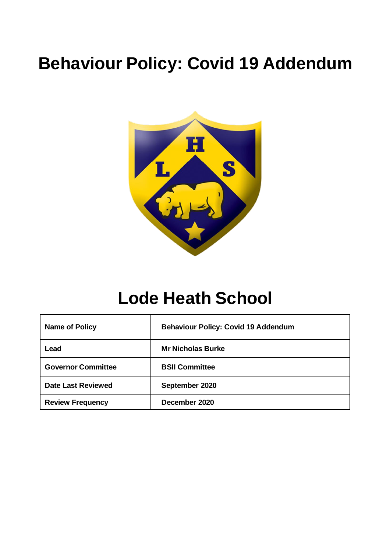# **Behaviour Policy: Covid 19 Addendum**



# **Lode Heath School**

| <b>Name of Policy</b>     | <b>Behaviour Policy: Covid 19 Addendum</b> |
|---------------------------|--------------------------------------------|
| Lead                      | <b>Mr Nicholas Burke</b>                   |
| <b>Governor Committee</b> | <b>BSII Committee</b>                      |
| <b>Date Last Reviewed</b> | September 2020                             |
| <b>Review Frequency</b>   | December 2020                              |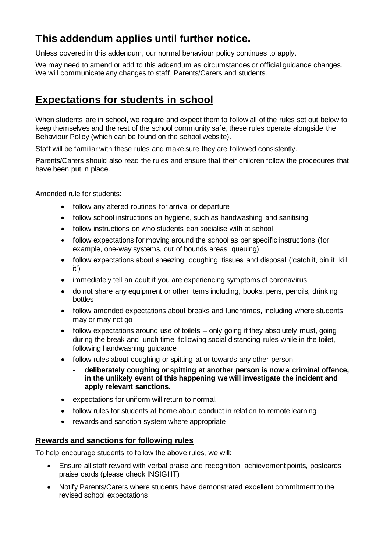# **This addendum applies until further notice.**

Unless covered in this addendum, our normal behaviour policy continues to apply.

We may need to amend or add to this addendum as circumstances or official guidance changes. We will communicate any changes to staff, Parents/Carers and students.

## **Expectations for students in school**

When students are in school, we require and expect them to follow all of the rules set out below to keep themselves and the rest of the school community safe, these rules operate alongside the Behaviour Policy (which can be found on the school website).

Staff will be familiar with these rules and make sure they are followed consistently.

Parents/Carers should also read the rules and ensure that their children follow the procedures that have been put in place.

Amended rule for students:

- follow any altered routines for arrival or departure
- follow school instructions on hygiene, such as handwashing and sanitising
- follow instructions on who students can socialise with at school
- follow expectations for moving around the school as per specific instructions (for example, one-way systems, out of bounds areas, queuing)
- follow expectations about sneezing, coughing, tissues and disposal ('catch it, bin it, kill it')
- immediately tell an adult if you are experiencing symptoms of coronavirus
- do not share any equipment or other items including, books, pens, pencils, drinking bottles
- follow amended expectations about breaks and lunchtimes, including where students may or may not go
- follow expectations around use of toilets only going if they absolutely must, going during the break and lunch time, following social distancing rules while in the toilet, following handwashing guidance
- follow rules about coughing or spitting at or towards any other person
	- **deliberately coughing or spitting at another person is now a criminal offence, in the unlikely event of this happening we will investigate the incident and apply relevant sanctions.**
- expectations for uniform will return to normal.
- follow rules for students at home about conduct in relation to remote learning
- rewards and sanction system where appropriate

#### **Rewards and sanctions for following rules**

To help encourage students to follow the above rules, we will:

- Ensure all staff reward with verbal praise and recognition, achievement points, postcards praise cards (please check INSIGHT)
- Notify Parents/Carers where students have demonstrated excellent commitment to the revised school expectations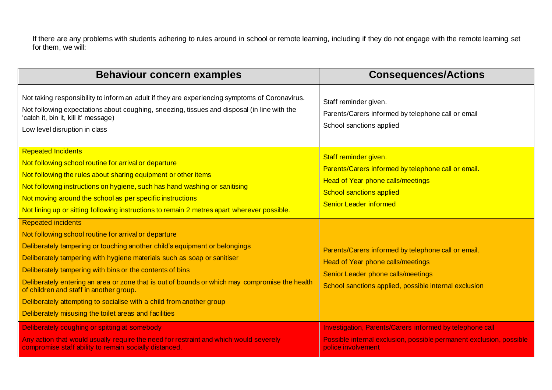If there are any problems with students adhering to rules around in school or remote learning, including if they do not engage with the remote learning set for them, we will:

| <b>Behaviour concern examples</b>                                                                                                                                                                                                                                                                                                                                                                                                                                                                                                                                                     | <b>Consequences/Actions</b>                                                                                                                                                                  |
|---------------------------------------------------------------------------------------------------------------------------------------------------------------------------------------------------------------------------------------------------------------------------------------------------------------------------------------------------------------------------------------------------------------------------------------------------------------------------------------------------------------------------------------------------------------------------------------|----------------------------------------------------------------------------------------------------------------------------------------------------------------------------------------------|
| Not taking responsibility to inform an adult if they are experiencing symptoms of Coronavirus.<br>Not following expectations about coughing, sneezing, tissues and disposal (in line with the<br>'catch it, bin it, kill it' message)<br>Low level disruption in class                                                                                                                                                                                                                                                                                                                | Staff reminder given.<br>Parents/Carers informed by telephone call or email<br>School sanctions applied                                                                                      |
| <b>Repeated Incidents</b><br>Not following school routine for arrival or departure<br>Not following the rules about sharing equipment or other items<br>Not following instructions on hygiene, such has hand washing or sanitising<br>Not moving around the school as per specific instructions<br>Not lining up or sitting following instructions to remain 2 metres apart wherever possible.                                                                                                                                                                                        | Staff reminder given.<br>Parents/Carers informed by telephone call or email.<br><b>Head of Year phone calls/meetings</b><br><b>School sanctions applied</b><br><b>Senior Leader informed</b> |
| <b>Repeated incidents</b><br>Not following school routine for arrival or departure<br>Deliberately tampering or touching another child's equipment or belongings<br>Deliberately tampering with hygiene materials such as soap or sanitiser<br>Deliberately tampering with bins or the contents of bins<br>Deliberately entering an area or zone that is out of bounds or which may compromise the health<br>of children and staff in another group.<br>Deliberately attempting to socialise with a child from another group<br>Deliberately misusing the toilet areas and facilities | Parents/Carers informed by telephone call or email.<br>Head of Year phone calls/meetings<br>Senior Leader phone calls/meetings<br>School sanctions applied, possible internal exclusion      |
| Deliberately coughing or spitting at somebody<br>Any action that would usually require the need for restraint and which would severely<br>compromise staff ability to remain socially distanced.                                                                                                                                                                                                                                                                                                                                                                                      | Investigation, Parents/Carers informed by telephone call<br>Possible internal exclusion, possible permanent exclusion, possible<br>police involvement                                        |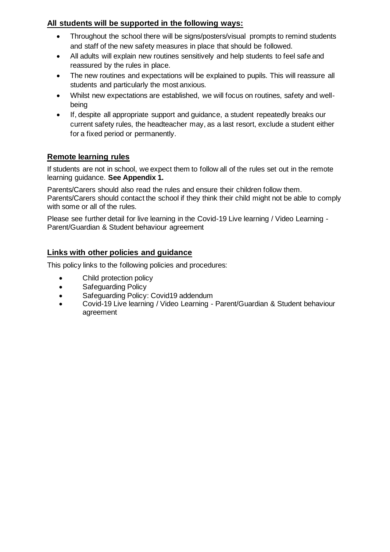## **All students will be supported in the following ways:**

- Throughout the school there will be signs/posters/visual prompts to remind students and staff of the new safety measures in place that should be followed.
- All adults will explain new routines sensitively and help students to feel safe and reassured by the rules in place.
- The new routines and expectations will be explained to pupils. This will reassure all students and particularly the most anxious.
- Whilst new expectations are established, we will focus on routines, safety and wellbeing
- If, despite all appropriate support and guidance, a student repeatedly breaks our current safety rules, the headteacher may, as a last resort, exclude a student either for a fixed period or permanently.

## **Remote learning rules**

If students are not in school, we expect them to follow all of the rules set out in the remote learning guidance. **See Appendix 1.**

Parents/Carers should also read the rules and ensure their children follow them. Parents/Carers should contact the school if they think their child might not be able to comply with some or all of the rules.

Please see further detail for live learning in the Covid-19 Live learning / Video Learning - Parent/Guardian & Student behaviour agreement

## **Links with other policies and guidance**

This policy links to the following policies and procedures:

- Child protection policy
- Safeguarding Policy
- Safeguarding Policy: Covid19 addendum
- Covid-19 Live learning / Video Learning Parent/Guardian & Student behaviour agreement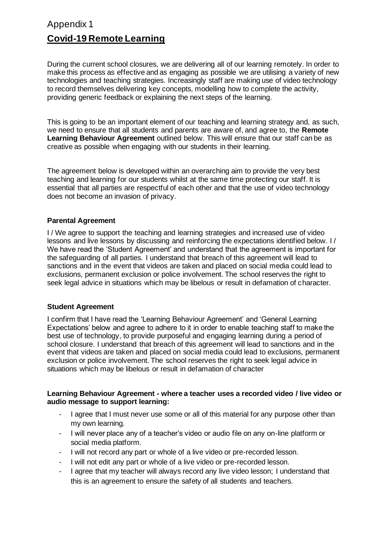## Appendix 1 **Covid-19 Remote Learning**

During the current school closures, we are delivering all of our learning remotely. In order to make this process as effective and as engaging as possible we are utilising a variety of new technologies and teaching strategies. Increasingly staff are making use of video technology to record themselves delivering key concepts, modelling how to complete the activity, providing generic feedback or explaining the next steps of the learning.

This is going to be an important element of our teaching and learning strategy and, as such, we need to ensure that all students and parents are aware of, and agree to, the **Remote Learning Behaviour Agreement** outlined below. This will ensure that our staff can be as creative as possible when engaging with our students in their learning.

The agreement below is developed within an overarching aim to provide the very best teaching and learning for our students whilst at the same time protecting our staff. It is essential that all parties are respectful of each other and that the use of video technology does not become an invasion of privacy.

#### **Parental Agreement**

I / We agree to support the teaching and learning strategies and increased use of video lessons and live lessons by discussing and reinforcing the expectations identified below. I / We have read the 'Student Agreement' and understand that the agreement is important for the safeguarding of all parties. I understand that breach of this agreement will lead to sanctions and in the event that videos are taken and placed on social media could lead to exclusions, permanent exclusion or police involvement. The school reserves the right to seek legal advice in situations which may be libelous or result in defamation of character.

#### **Student Agreement**

I confirm that I have read the 'Learning Behaviour Agreement' and 'General Learning Expectations' below and agree to adhere to it in order to enable teaching staff to make the best use of technology, to provide purposeful and engaging learning during a period of school closure. I understand that breach of this agreement will lead to sanctions and in the event that videos are taken and placed on social media could lead to exclusions, permanent exclusion or police involvement. The school reserves the right to seek legal advice in situations which may be libelous or result in defamation of character

#### **Learning Behaviour Agreement - where a teacher uses a recorded video / live video or audio message to support learning:**

- I agree that I must never use some or all of this material for any purpose other than my own learning.
- I will never place any of a teacher's video or audio file on any on-line platform or social media platform.
- I will not record any part or whole of a live video or pre-recorded lesson.
- I will not edit any part or whole of a live video or pre-recorded lesson.
- I agree that my teacher will always record any live video lesson; I understand that this is an agreement to ensure the safety of all students and teachers.